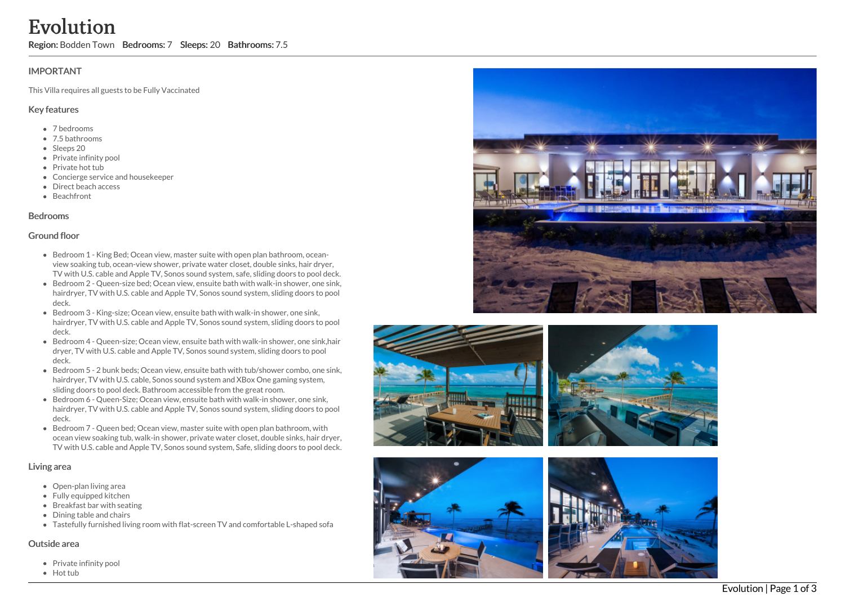## **IMPORTANT**

This Villa requires all guests to be Fully Vaccinated

## Key features

- 7 b e d r o o m s
- 7.5 bathrooms
- Sleeps 20
- Private infinity pool
- Private hot tub
- Concierge service and housekeeper
- Direct beach access
- **Beachfront**

### **Bedrooms**

### Ground floor

- Bedroom 1 King Bed; Ocean view, master suite with open plan bathroom, oceanview soaking tub, ocean-view shower, private water closet, double sinks, hair dryer, TV with U.S. cable and Apple TV, Sonos sound system, safe, sliding doors to pool dec k.
- Bedroom 2 Queen-size bed; Ocean view, ensuite bath with walk-in shower, one sink, hairdryer, TV with U.S. cable and Apple TV, Sonos sound system, sliding doors to pool deck.
- Bedroom 3 King-size; Ocean view, ensuite bath with walk-in shower, one sink, hairdryer, TV with U.S. cable and Apple TV, Sonos sound system, sliding doors to pool deck.
- Bedroom 4 Queen-size; Ocean view, ensuite bath with walk-in shower, one sink,hair dryer, TV with U.S. cable and Apple TV, Sonos sound system, sliding doors to pool deck.
- $\bullet$  Bedroom 5 2 bunk beds; Ocean view, ensuite bath with tub/shower combo, one sink, hairdryer, TV with U.S. cable, Sonos sound system and XBox One gaming system, sliding doors to pool deck. Bathroom accessible from the great room.
- Bedroom 6 Queen-Size: Ocean view, ensuite bath with walk-in shower, one sink, hairdryer, TV with U.S. cable and Apple TV, Sonos sound system, sliding doors to pool deck.
- Bedroom 7 Queen bed; Ocean view, master suite with open plan bathroom, with ocean view soaking tub, walk-in shower, private water closet, double sinks, hair dryer, TV with U.S. cable and Apple TV, Sonos sound system, Safe, sliding doors to pool deck. EVOLUTION<br>
Region: Bodden Town Bedrooms: 7 Sleeps: 20 Bathrooms: 7.5<br>
IMPORTANT<br>
This Villa requires all guests to be Fully Vaccinated<br>
Key features<br>
\* 7.5 bathrooms<br>
\* 7.5 bathrooms<br>
\* 7.5 bathrooms<br>
\* 7.5 bathrooms<br>
\* 7.

## Living area

- Open-plan living area
- Fully equipped kitchen
- Breakfast bar with seating
- Dining table and chairs
- Tastefully furnished living room with flat-screen TV and comfortable L-shaped sofa

## Outside area

• Private infinity pool











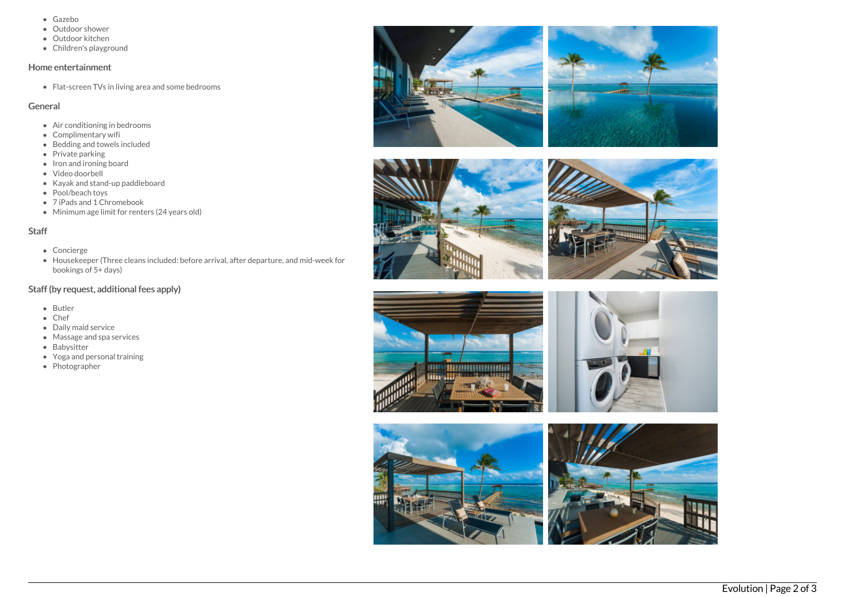- Gazebo
- Outdoor shower
- Outdoor kitchen
- Children's playground

#### Home entertainment

Flat-screen TVs in living area and some bedrooms

## General

- Air conditioning in bedrooms
- Complimentary wifi
- $\bullet$  Bedding and towels included
- Private parking
- Iron and ironing board
- Video doorbell
- Kayak and stand-up paddleboard
- Pool/beach toys
- 7 iPads and 1 Chromebook
- Minimum age limit for renters (24 years old)

# Staff

- Concierge
- Housekeeper (Three cleans included: before arrival, after departure, and mid-week for bookings of 5+ days)

# Staff (by request, additional fees apply)

- Butler
- Chef
- Daily maid service
- Massage and spa services
- Babysitter
- Yoga and personal training
- Photographer